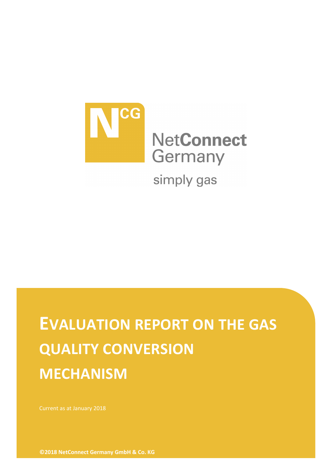

# **EVALUATION REPORT ON THE GAS QUALITY CONVERSION MECHANISM**

**©2018 NetConnect Germany GmbH & Co. KG**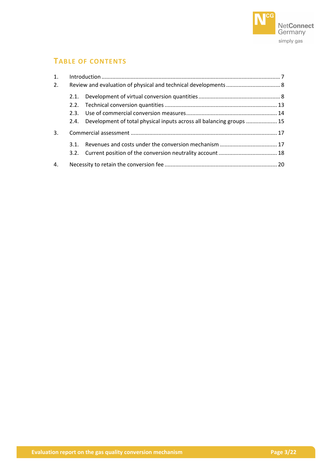

# **TABLE OF CONTENTS**

| 1. |      |                                                                           |  |  |
|----|------|---------------------------------------------------------------------------|--|--|
| 2. |      |                                                                           |  |  |
|    | 2.1. |                                                                           |  |  |
|    |      |                                                                           |  |  |
|    |      |                                                                           |  |  |
|    |      | 2.4. Development of total physical inputs across all balancing groups  15 |  |  |
| 3. |      |                                                                           |  |  |
|    | 3.1. |                                                                           |  |  |
|    |      |                                                                           |  |  |
| 4. |      |                                                                           |  |  |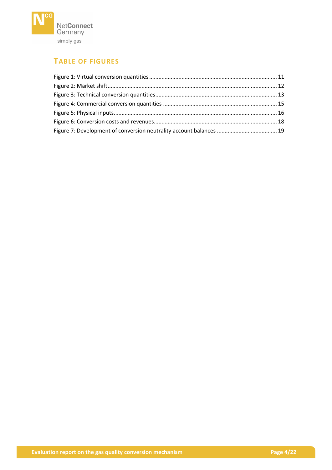

# **TABLE OF FIGURES**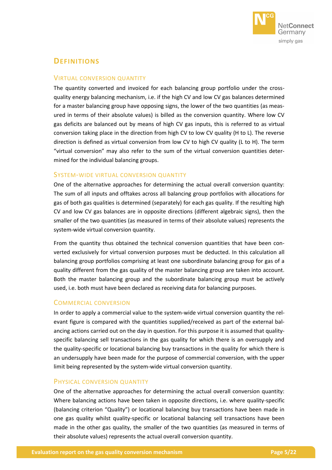

# **DEFINITIONS**

#### VIRTUAL CONVERSION QUANTITY

The quantity converted and invoiced for each balancing group portfolio under the crossquality energy balancing mechanism, i.e. if the high CV and low CV gas balances determined for a master balancing group have opposing signs, the lower of the two quantities (as measured in terms of their absolute values) is billed as the conversion quantity. Where low CV gas deficits are balanced out by means of high CV gas inputs, this is referred to as virtual conversion taking place in the direction from high CV to low CV quality (H to L). The reverse direction is defined as virtual conversion from low CV to high CV quality (L to H). The term "virtual conversion" may also refer to the sum of the virtual conversion quantities determined for the individual balancing groups.

#### SYSTEM-WIDE VIRTUAL CONVERSION QUANTITY

One of the alternative approaches for determining the actual overall conversion quantity: The sum of all inputs and offtakes across all balancing group portfolios with allocations for gas of both gas qualities is determined (separately) for each gas quality. If the resulting high CV and low CV gas balances are in opposite directions (different algebraic signs), then the smaller of the two quantities (as measured in terms of their absolute values) represents the system-wide virtual conversion quantity.

From the quantity thus obtained the technical conversion quantities that have been converted exclusively for virtual conversion purposes must be deducted. In this calculation all balancing group portfolios comprising at least one subordinate balancing group for gas of a quality different from the gas quality of the master balancing group are taken into account. Both the master balancing group and the subordinate balancing group must be actively used, i.e. both must have been declared as receiving data for balancing purposes.

## COMMERCIAL CONVERSION

In order to apply a commercial value to the system-wide virtual conversion quantity the relevant figure is compared with the quantities supplied/received as part of the external balancing actions carried out on the day in question. For this purpose it is assumed that qualityspecific balancing sell transactions in the gas quality for which there is an oversupply and the quality-specific or locational balancing buy transactions in the quality for which there is an undersupply have been made for the purpose of commercial conversion, with the upper limit being represented by the system-wide virtual conversion quantity.

## PHYSICAL CONVERSION QUANTITY

One of the alternative approaches for determining the actual overall conversion quantity: Where balancing actions have been taken in opposite directions, i.e. where quality-specific (balancing criterion "Quality") or locational balancing buy transactions have been made in one gas quality whilst quality-specific or locational balancing sell transactions have been made in the other gas quality, the smaller of the two quantities (as measured in terms of their absolute values) represents the actual overall conversion quantity.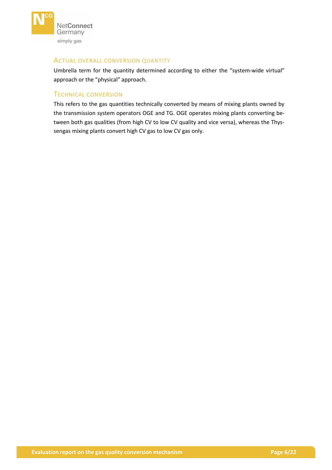

#### ACTUAL OVERALL CONVERSION QUANTITY

Umbrella term for the quantity determined according to either the "system-wide virtual" approach or the "physical" approach.

#### TECHNICAL CONVERSION

This refers to the gas quantities technically converted by means of mixing plants owned by the transmission system operators OGE and TG. OGE operates mixing plants converting between both gas qualities (from high CV to low CV quality and vice versa), whereas the Thyssengas mixing plants convert high CV gas to low CV gas only.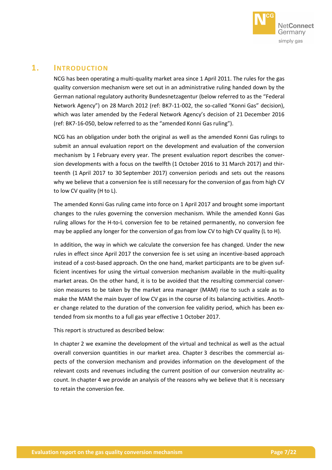

# <span id="page-6-0"></span>**1. INTRODUCTION**

NCG has been operating a multi-quality market area since 1 April 2011. The rules for the gas quality conversion mechanism were set out in an administrative ruling handed down by the German national regulatory authority Bundesnetzagentur (below referred to as the "Federal Network Agency") on 28 March 2012 (ref: BK7-11-002, the so-called "Konni Gas" decision), which was later amended by the Federal Network Agency's decision of 21 December 2016 (ref: BK7-16-050, below referred to as the "amended Konni Gas ruling").

NCG has an obligation under both the original as well as the amended Konni Gas rulings to submit an annual evaluation report on the development and evaluation of the conversion mechanism by 1 February every year. The present evaluation report describes the conversion developments with a focus on the twelfth (1 October 2016 to 31 March 2017) and thirteenth (1 April 2017 to 30 September 2017) conversion periods and sets out the reasons why we believe that a conversion fee is still necessary for the conversion of gas from high CV to low CV quality (H to L).

The amended Konni Gas ruling came into force on 1 April 2017 and brought some important changes to the rules governing the conversion mechanism. While the amended Konni Gas ruling allows for the H-to-L conversion fee to be retained permanently, no conversion fee may be applied any longer for the conversion of gas from low CV to high CV quality (L to H).

In addition, the way in which we calculate the conversion fee has changed. Under the new rules in effect since April 2017 the conversion fee is set using an incentive-based approach instead of a cost-based approach. On the one hand, market participants are to be given sufficient incentives for using the virtual conversion mechanism available in the multi-quality market areas. On the other hand, it is to be avoided that the resulting commercial conversion measures to be taken by the market area manager (MAM) rise to such a scale as to make the MAM the main buyer of low CV gas in the course of its balancing activities. Another change related to the duration of the conversion fee validity period, which has been extended from six months to a full gas year effective 1 October 2017.

This report is structured as described below:

In chapter [2](#page-7-0) we examine the development of the virtual and technical as well as the actual overall conversion quantities in our market area. Chapter [3](#page-16-0) describes the commercial aspects of the conversion mechanism and provides information on the development of the relevant costs and revenues including the current position of our conversion neutrality account. In chapter [4](#page-19-0) we provide an analysis of the reasons why we believe that it is necessary to retain the conversion fee.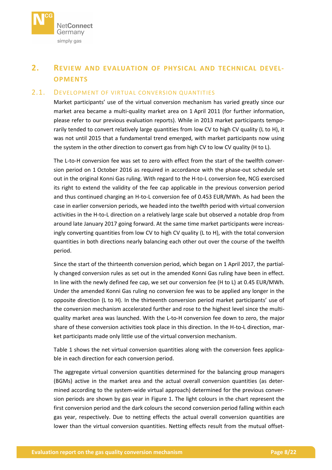

# <span id="page-7-0"></span>**2. REVIEW AND EVALUATION OF PHYSICAL AND TECHNICAL DEVEL-OPMENTS**

## <span id="page-7-1"></span>2.1. DEVELOPMENT OF VIRTUAL CONVERSION QUANTITIES

Market participants' use of the virtual conversion mechanism has varied greatly since our market area became a multi-quality market area on 1 April 2011 (for further information, please refer to our previous evaluation reports). While in 2013 market participants temporarily tended to convert relatively large quantities from low CV to high CV quality (L to H), it was not until 2015 that a fundamental trend emerged, with market participants now using the system in the other direction to convert gas from high CV to low CV quality (H to L).

The L-to-H conversion fee was set to zero with effect from the start of the twelfth conversion period on 1 October 2016 as required in accordance with the phase-out schedule set out in the original Konni Gas ruling. With regard to the H-to-L conversion fee, NCG exercised its right to extend the validity of the fee cap applicable in the previous conversion period and thus continued charging an H-to-L conversion fee of 0.453 EUR/MWh. As had been the case in earlier conversion periods, we headed into the twelfth period with virtual conversion activities in the H-to-L direction on a relatively large scale but observed a notable drop from around late January 2017 going forward. At the same time market participants were increasingly converting quantities from low CV to high CV quality (L to H), with the total conversion quantities in both directions nearly balancing each other out over the course of the twelfth period.

Since the start of the thirteenth conversion period, which began on 1 April 2017, the partially changed conversion rules as set out in the amended Konni Gas ruling have been in effect. In line with the newly defined fee cap, we set our conversion fee (H to L) at 0.45 EUR/MWh. Under the amended Konni Gas ruling no conversion fee was to be applied any longer in the opposite direction (L to H). In the thirteenth conversion period market participants' use of the conversion mechanism accelerated further and rose to the highest level since the multiquality market area was launched. With the L-to-H conversion fee down to zero, the major share of these conversion activities took place in this direction. In the H-to-L direction, market participants made only little use of the virtual conversion mechanism.

[Table 1](#page-9-0) shows the net virtual conversion quantities along with the conversion fees applicable in each direction for each conversion period.

The aggregate virtual conversion quantities determined for the balancing group managers (BGMs) active in the market area and the actual overall conversion quantities (as determined according to the system-wide virtual approach) determined for the previous conversion periods are shown by gas year in [Figure 1.](#page-10-0) The light colours in the chart represent the first conversion period and the dark colours the second conversion period falling within each gas year, respectively. Due to netting effects the actual overall conversion quantities are lower than the virtual conversion quantities. Netting effects result from the mutual offset-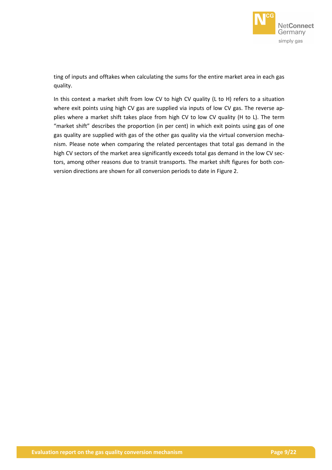

ting of inputs and offtakes when calculating the sums for the entire market area in each gas quality.

In this context a market shift from low CV to high CV quality (L to H) refers to a situation where exit points using high CV gas are supplied via inputs of low CV gas. The reverse applies where a market shift takes place from high CV to low CV quality (H to L). The term "market shift" describes the proportion (in per cent) in which exit points using gas of one gas quality are supplied with gas of the other gas quality via the virtual conversion mechanism. Please note when comparing the related percentages that total gas demand in the high CV sectors of the market area significantly exceeds total gas demand in the low CV sectors, among other reasons due to transit transports. The market shift figures for both conversion directions are shown for all conversion periods to date i[n Figure 2.](#page-11-0)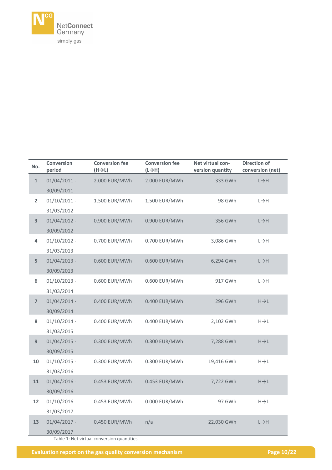

| No.                     | <b>Conversion</b><br>period | <b>Conversion fee</b><br>$(H \rightarrow L)$ | <b>Conversion fee</b><br>$(L \rightarrow H)$ | Net virtual con-<br>version quantity | <b>Direction of</b><br>conversion (net) |
|-------------------------|-----------------------------|----------------------------------------------|----------------------------------------------|--------------------------------------|-----------------------------------------|
| $\mathbf{1}$            | $01/04/2011$ -              | 2.000 EUR/MWh                                | 2.000 EUR/MWh                                | 333 GWh                              | $L \rightarrow H$                       |
|                         | 30/09/2011                  |                                              |                                              |                                      |                                         |
| $\overline{2}$          | $01/10/2011$ -              | 1.500 EUR/MWh                                | 1.500 EUR/MWh                                | 98 GWh                               | $L \rightarrow H$                       |
|                         | 31/03/2012                  |                                              |                                              |                                      |                                         |
| $\overline{\mathbf{3}}$ | $01/04/2012 -$              | 0.900 EUR/MWh                                | 0.900 EUR/MWh                                | 356 GWh                              | $L \rightarrow H$                       |
|                         | 30/09/2012                  |                                              |                                              |                                      |                                         |
| 4                       | $01/10/2012 -$              | 0.700 EUR/MWh                                | 0.700 EUR/MWh                                | 3,086 GWh                            | $L \rightarrow H$                       |
|                         | 31/03/2013                  |                                              |                                              |                                      |                                         |
| 5                       | $01/04/2013 -$              | 0.600 EUR/MWh                                | 0.600 EUR/MWh                                | 6,294 GWh                            | $L \rightarrow H$                       |
|                         | 30/09/2013                  |                                              |                                              |                                      |                                         |
| 6                       | $01/10/2013 -$              | 0.600 EUR/MWh                                | 0.600 EUR/MWh                                | 917 GWh                              | $L \rightarrow H$                       |
|                         | 31/03/2014                  |                                              |                                              |                                      |                                         |
| $\overline{7}$          | $01/04/2014 -$              | 0.400 EUR/MWh                                | 0.400 EUR/MWh                                | 296 GWh                              | $H\rightarrow L$                        |
|                         | 30/09/2014                  |                                              |                                              |                                      |                                         |
| 8                       | $01/10/2014 -$              | 0.400 EUR/MWh                                | 0.400 EUR/MWh                                | 2,102 GWh                            | $H\rightarrow L$                        |
|                         | 31/03/2015                  |                                              |                                              |                                      |                                         |
| 9                       | $01/04/2015$ -              | 0.300 EUR/MWh                                | 0.300 EUR/MWh                                | 7,288 GWh                            | $H\rightarrow L$                        |
|                         | 30/09/2015                  |                                              |                                              |                                      |                                         |
| 10                      | $01/10/2015$ -              | 0.300 EUR/MWh                                | 0.300 EUR/MWh                                | 19,416 GWh                           | $H\rightarrow L$                        |
|                         | 31/03/2016                  |                                              |                                              |                                      |                                         |
| ${\bf 11}$              | $01/04/2016 -$              | 0.453 EUR/MWh                                | 0.453 EUR/MWh                                | 7,722 GWh                            | $H\rightarrow L$                        |
|                         | 30/09/2016                  |                                              |                                              |                                      |                                         |
| 12                      | $01/10/2016$ -              | 0.453 EUR/MWh                                | 0.000 EUR/MWh                                | 97 GWh                               | $H\rightarrow L$                        |
|                         | 31/03/2017                  |                                              |                                              |                                      |                                         |
| 13                      | 01/04/2017 -                | 0.450 EUR/MWh                                | n/a                                          | 22,030 GWh                           | $L \rightarrow H$                       |
|                         | 30/09/2017                  |                                              |                                              |                                      |                                         |

<span id="page-9-0"></span>Table 1: Net virtual conversion quantities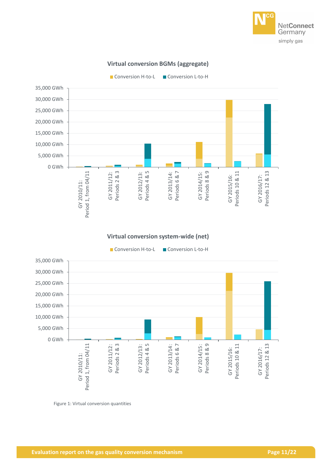

# **Virtual conversion BGMs (aggregate)**

Conversion H-to-L Conversion L-to-H 35,000 GWh 30,000 GWh 25,000 GWh 20,000 GWh 15,000 GWh 10,000 GWh 5,000 GWh 0 GWh Periods 4 & 5 Periods 6 & 7 Periods 8 & 9 Period 1, from 04/11 GY 2011/12: Periods 2 & 3 GY 2013/14: GY 2014/15: Periods 10 & 11 Periods 12 & 13 Period 1, from 04/11 GY 2012/13: Periods 10 & 11 Periods 12 & 13 GY 2011/12: GY 2012/13: GY 2013/14: GY 2014/15: GY 2015/16: GY 2016/17: GY 2015/16: GY 2016/17: GY 2010/11: GY 2010/11:

#### **Virtual conversion system-wide (net)**



<span id="page-10-0"></span>Figure 1: Virtual conversion quantities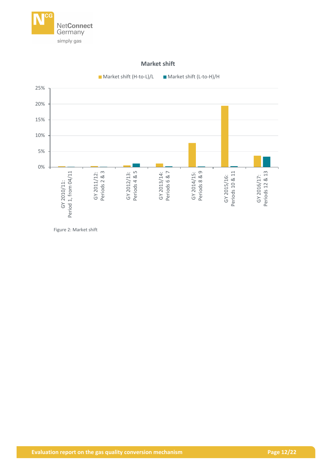



**Market shift**

<span id="page-11-0"></span>Figure 2: Market shift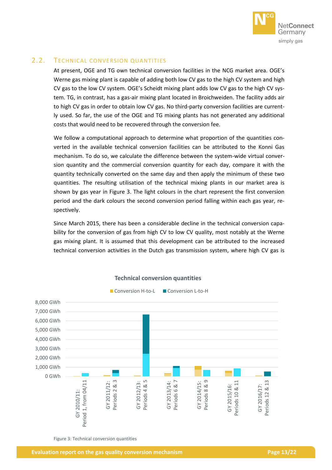

# <span id="page-12-0"></span>2.2. TECHNICAL CONVERSION QUANTITIES

At present, OGE and TG own technical conversion facilities in the NCG market area. OGE's Werne gas mixing plant is capable of adding both low CV gas to the high CV system and high CV gas to the low CV system. OGE's Scheidt mixing plant adds low CV gas to the high CV system. TG, in contrast, has a gas-air mixing plant located in Broichweiden. The facility adds air to high CV gas in order to obtain low CV gas. No third-party conversion facilities are currently used. So far, the use of the OGE and TG mixing plants has not generated any additional costs that would need to be recovered through the conversion fee.

We follow a computational approach to determine what proportion of the quantities converted in the available technical conversion facilities can be attributed to the Konni Gas mechanism. To do so, we calculate the difference between the system-wide virtual conversion quantity and the commercial conversion quantity for each day, compare it with the quantity technically converted on the same day and then apply the minimum of these two quantities. The resulting utilisation of the technical mixing plants in our market area is shown by gas year in [Figure 3.](#page-12-1) The light colours in the chart represent the first conversion period and the dark colours the second conversion period falling within each gas year, respectively.

Since March 2015, there has been a considerable decline in the technical conversion capability for the conversion of gas from high CV to low CV quality, most notably at the Werne gas mixing plant. It is assumed that this development can be attributed to the increased technical conversion activities in the Dutch gas transmission system, where high CV gas is



# **Technical conversion quantities**

<span id="page-12-1"></span>Figure 3: Technical conversion quantities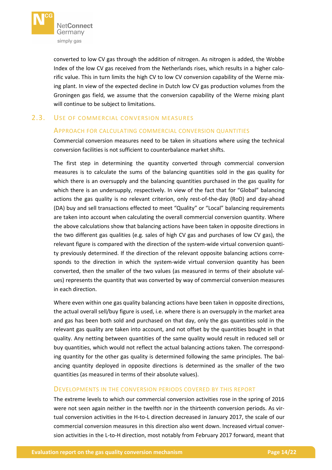

converted to low CV gas through the addition of nitrogen. As nitrogen is added, the Wobbe Index of the low CV gas received from the Netherlands rises, which results in a higher calorific value. This in turn limits the high CV to low CV conversion capability of the Werne mixing plant. In view of the expected decline in Dutch low CV gas production volumes from the Groningen gas field, we assume that the conversion capability of the Werne mixing plant will continue to be subject to limitations.

# <span id="page-13-0"></span>2.3. USE OF COMMERCIAL CONVERSION MEASURES

#### APPROACH FOR CALCULATING COMMERCIAL CONVERSION QUANTITIES

Commercial conversion measures need to be taken in situations where using the technical conversion facilities is not sufficient to counterbalance market shifts.

The first step in determining the quantity converted through commercial conversion measures is to calculate the sums of the balancing quantities sold in the gas quality for which there is an oversupply and the balancing quantities purchased in the gas quality for which there is an undersupply, respectively. In view of the fact that for "Global" balancing actions the gas quality is no relevant criterion, only rest-of-the-day (RoD) and day-ahead (DA) buy and sell transactions effected to meet "Quality" or "Local" balancing requirements are taken into account when calculating the overall commercial conversion quantity. Where the above calculations show that balancing actions have been taken in opposite directions in the two different gas qualities (e.g. sales of high CV gas and purchases of low CV gas), the relevant figure is compared with the direction of the system-wide virtual conversion quantity previously determined. If the direction of the relevant opposite balancing actions corresponds to the direction in which the system-wide virtual conversion quantity has been converted, then the smaller of the two values (as measured in terms of their absolute values) represents the quantity that was converted by way of commercial conversion measures in each direction.

Where even within one gas quality balancing actions have been taken in opposite directions, the actual overall sell/buy figure is used, i.e. where there is an oversupply in the market area and gas has been both sold and purchased on that day, only the gas quantities sold in the relevant gas quality are taken into account, and not offset by the quantities bought in that quality. Any netting between quantities of the same quality would result in reduced sell or buy quantities, which would not reflect the actual balancing actions taken. The corresponding quantity for the other gas quality is determined following the same principles. The balancing quantity deployed in opposite directions is determined as the smaller of the two quantities (as measured in terms of their absolute values).

#### DEVELOPMENTS IN THE CONVERSION PERIODS COVERED BY THIS REPORT

The extreme levels to which our commercial conversion activities rose in the spring of 2016 were not seen again neither in the twelfth nor in the thirteenth conversion periods. As virtual conversion activities in the H-to-L direction decreased in January 2017, the scale of our commercial conversion measures in this direction also went down. Increased virtual conversion activities in the L-to-H direction, most notably from February 2017 forward, meant that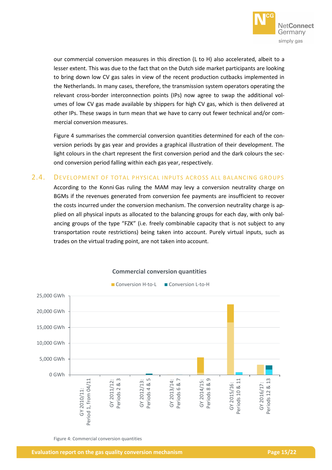

our commercial conversion measures in this direction (L to H) also accelerated, albeit to a lesser extent. This was due to the fact that on the Dutch side market participants are looking to bring down low CV gas sales in view of the recent production cutbacks implemented in the Netherlands. In many cases, therefore, the transmission system operators operating the relevant cross-border interconnection points (IPs) now agree to swap the additional volumes of low CV gas made available by shippers for high CV gas, which is then delivered at other IPs. These swaps in turn mean that we have to carry out fewer technical and/or commercial conversion measures.

[Figure 4](#page-14-1) summarises the commercial conversion quantities determined for each of the conversion periods by gas year and provides a graphical illustration of their development. The light colours in the chart represent the first conversion period and the dark colours the second conversion period falling within each gas year, respectively.

# <span id="page-14-0"></span>2.4. DEVELOPMENT OF TOTAL PHYSICAL INPUTS ACROSS ALL BALANCING GROUPS

According to the Konni Gas ruling the MAM may levy a conversion neutrality charge on BGMs if the revenues generated from conversion fee payments are insufficient to recover the costs incurred under the conversion mechanism. The conversion neutrality charge is applied on all physical inputs as allocated to the balancing groups for each day, with only balancing groups of the type "FZK" (i.e. freely combinable capacity that is not subject to any transportation route restrictions) being taken into account. Purely virtual inputs, such as trades on the virtual trading point, are not taken into account.



#### **Commercial conversion quantities**

<span id="page-14-1"></span>Figure 4: Commercial conversion quantities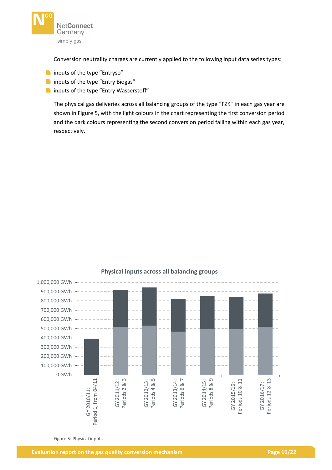

Conversion neutrality charges are currently applied to the following input data series types:

- **n** inputs of the type "Entryso"
- **n** inputs of the type "Entry Biogas"
- **n** inputs of the type "Entry Wasserstoff"

The physical gas deliveries across all balancing groups of the type "FZK" in each gas year are shown in [Figure 5,](#page-15-0) with the light colours in the chart representing the first conversion period and the dark colours representing the second conversion period falling within each gas year, respectively.



## **Physical inputs across all balancing groups**

<span id="page-15-0"></span>Figure 5: Physical inputs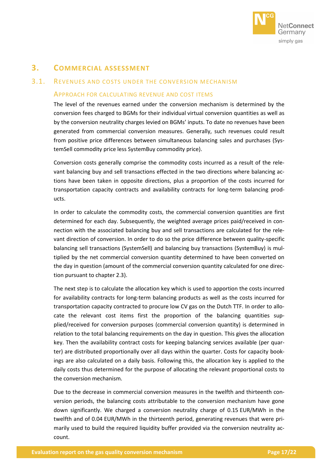

# <span id="page-16-0"></span>**3. COMMERCIAL ASSESSMENT**

# <span id="page-16-1"></span>3.1. REVENUES AND COSTS UNDER THE CONVERSION MECHANISM

#### APPROACH FOR CALCULATING REVENUE AND COST ITEMS

The level of the revenues earned under the conversion mechanism is determined by the conversion fees charged to BGMs for their individual virtual conversion quantities as well as by the conversion neutrality charges levied on BGMs' inputs. To date no revenues have been generated from commercial conversion measures. Generally, such revenues could result from positive price differences between simultaneous balancing sales and purchases (SystemSell commodity price less SystemBuy commodity price).

Conversion costs generally comprise the commodity costs incurred as a result of the relevant balancing buy and sell transactions effected in the two directions where balancing actions have been taken in opposite directions, plus a proportion of the costs incurred for transportation capacity contracts and availability contracts for long-term balancing products.

In order to calculate the commodity costs, the commercial conversion quantities are first determined for each day. Subsequently, the weighted average prices paid/received in connection with the associated balancing buy and sell transactions are calculated for the relevant direction of conversion. In order to do so the price difference between quality-specific balancing sell transactions (SystemSell) and balancing buy transactions (SystemBuy) is multiplied by the net commercial conversion quantity determined to have been converted on the day in question (amount of the commercial conversion quantity calculated for one direction pursuant to chapter [2.3\)](#page-13-0).

The next step is to calculate the allocation key which is used to apportion the costs incurred for availability contracts for long-term balancing products as well as the costs incurred for transportation capacity contracted to procure low CV gas on the Dutch TTF. In order to allocate the relevant cost items first the proportion of the balancing quantities supplied/received for conversion purposes (commercial conversion quantity) is determined in relation to the total balancing requirements on the day in question. This gives the allocation key. Then the availability contract costs for keeping balancing services available (per quarter) are distributed proportionally over all days within the quarter. Costs for capacity bookings are also calculated on a daily basis. Following this, the allocation key is applied to the daily costs thus determined for the purpose of allocating the relevant proportional costs to the conversion mechanism.

Due to the decrease in commercial conversion measures in the twelfth and thirteenth conversion periods, the balancing costs attributable to the conversion mechanism have gone down significantly. We charged a conversion neutrality charge of 0.15 EUR/MWh in the twelfth and of 0.04 EUR/MWh in the thirteenth period, generating revenues that were primarily used to build the required liquidity buffer provided via the conversion neutrality account.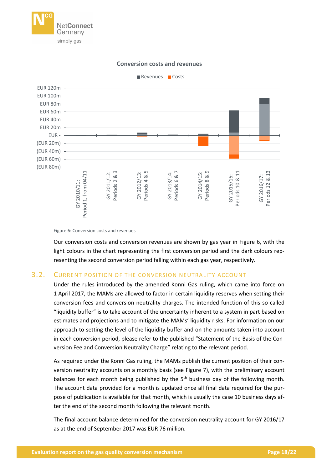



#### **Conversion costs and revenues**

Our conversion costs and conversion revenues are shown by gas year in [Figure 6,](#page-17-1) with the light colours in the chart representing the first conversion period and the dark colours representing the second conversion period falling within each gas year, respectively.

#### <span id="page-17-0"></span>3.2. CURRENT POSITION OF THE CONVERSION NEUTRALITY ACCOUNT

Under the rules introduced by the amended Konni Gas ruling, which came into force on 1 April 2017, the MAMs are allowed to factor in certain liquidity reserves when setting their conversion fees and conversion neutrality charges. The intended function of this so-called "liquidity buffer" is to take account of the uncertainty inherent to a system in part based on estimates and projections and to mitigate the MAMs' liquidity risks. For information on our approach to setting the level of the liquidity buffer and on the amounts taken into account in each conversion period, please refer to the published "Statement of the Basis of the Conversion Fee and Conversion Neutrality Charge" relating to the relevant period.

As required under the Konni Gas ruling, the MAMs publish the current position of their conversion neutrality accounts on a monthly basis (see [Figure 7\)](#page-18-0), with the preliminary account balances for each month being published by the  $5<sup>th</sup>$  business day of the following month. The account data provided for a month is updated once all final data required for the purpose of publication is available for that month, which is usually the case 10 business days after the end of the second month following the relevant month.

The final account balance determined for the conversion neutrality account for GY 2016/17 as at the end of September 2017 was EUR 76 million.

<span id="page-17-1"></span>Figure 6: Conversion costs and revenues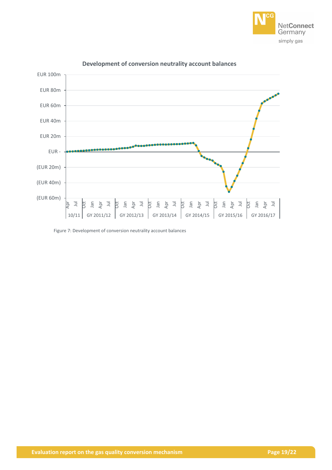



#### **Development of conversion neutrality account balances**

<span id="page-18-0"></span>Figure 7: Development of conversion neutrality account balances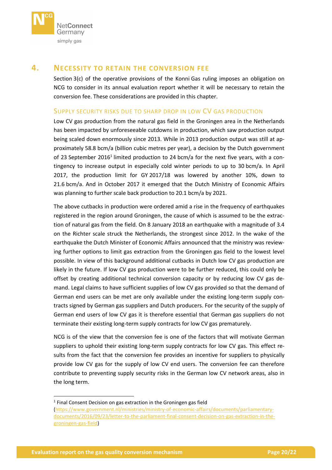

# <span id="page-19-0"></span>**4. NECESSITY TO RETAIN THE CONVERSION FEE**

Section 3(c) of the operative provisions of the Konni Gas ruling imposes an obligation on NCG to consider in its annual evaluation report whether it will be necessary to retain the conversion fee. These considerations are provided in this chapter.

#### SUPPLY SECURITY RISKS DUE TO SHARP DROP IN LOW CV GAS PRODUCTION

Low CV gas production from the natural gas field in the Groningen area in the Netherlands has been impacted by unforeseeable cutdowns in production, which saw production output being scaled down enormously since 2013. While in 2013 production output was still at approximately 58.8 bcm/a (billion cubic metres per year), a decision by the Dutch government of 23 September 2016<sup>1</sup> limited production to 24 bcm/a for the next five years, with a contingency to increase output in especially cold winter periods to up to 30 bcm/a. In April 2017, the production limit for GY 2017/18 was lowered by another 10%, down to 21.6 bcm/a. And in October 2017 it emerged that the Dutch Ministry of Economic Affairs was planning to further scale back production to 20.1 bcm/a by 2021.

The above cutbacks in production were ordered amid a rise in the frequency of earthquakes registered in the region around Groningen, the cause of which is assumed to be the extraction of natural gas from the field. On 8 January 2018 an earthquake with a magnitude of 3.4 on the Richter scale struck the Netherlands, the strongest since 2012. In the wake of the earthquake the Dutch Minister of Economic Affairs announced that the ministry was reviewing further options to limit gas extraction from the Groningen gas field to the lowest level possible. In view of this background additional cutbacks in Dutch low CV gas production are likely in the future. If low CV gas production were to be further reduced, this could only be offset by creating additional technical conversion capacity or by reducing low CV gas demand. Legal claims to have sufficient supplies of low CV gas provided so that the demand of German end users can be met are only available under the existing long-term supply contracts signed by German gas suppliers and Dutch producers. For the security of the supply of German end users of low CV gas it is therefore essential that German gas suppliers do not terminate their existing long-term supply contracts for low CV gas prematurely.

NCG is of the view that the conversion fee is one of the factors that will motivate German suppliers to uphold their existing long-term supply contracts for low CV gas. This effect results from the fact that the conversion fee provides an incentive for suppliers to physically provide low CV gas for the supply of low CV end users. The conversion fee can therefore contribute to preventing supply security risks in the German low CV network areas, also in the long term.

**.** 

<sup>&</sup>lt;sup>1</sup> Final Consent Decision on gas extraction in the Groningen gas field

[<sup>\(</sup>https://www.government.nl/ministries/ministry-of-economic-affairs/documents/parliamentary](https://www.government.nl/ministries/ministry-of-economic-affairs/documents/parliamentary-documents/2016/09/23/letter-to-the-parliament-final-consent-decision-on-gas-extraction-in-the-groningen-gas-field)[documents/2016/09/23/letter-to-the-parliament-final-consent-decision-on-gas-extraction-in-the](https://www.government.nl/ministries/ministry-of-economic-affairs/documents/parliamentary-documents/2016/09/23/letter-to-the-parliament-final-consent-decision-on-gas-extraction-in-the-groningen-gas-field)[groningen-gas-field\)](https://www.government.nl/ministries/ministry-of-economic-affairs/documents/parliamentary-documents/2016/09/23/letter-to-the-parliament-final-consent-decision-on-gas-extraction-in-the-groningen-gas-field)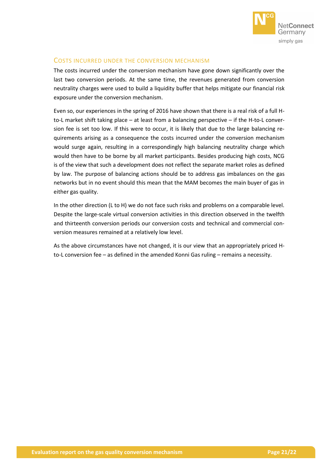

# COSTS INCURRED UNDER THE CONVERSION MECHANISM

The costs incurred under the conversion mechanism have gone down significantly over the last two conversion periods. At the same time, the revenues generated from conversion neutrality charges were used to build a liquidity buffer that helps mitigate our financial risk exposure under the conversion mechanism.

Even so, our experiences in the spring of 2016 have shown that there is a real risk of a full Hto-L market shift taking place – at least from a balancing perspective – if the H-to-L conversion fee is set too low. If this were to occur, it is likely that due to the large balancing requirements arising as a consequence the costs incurred under the conversion mechanism would surge again, resulting in a correspondingly high balancing neutrality charge which would then have to be borne by all market participants. Besides producing high costs, NCG is of the view that such a development does not reflect the separate market roles as defined by law. The purpose of balancing actions should be to address gas imbalances on the gas networks but in no event should this mean that the MAM becomes the main buyer of gas in either gas quality.

In the other direction (L to H) we do not face such risks and problems on a comparable level. Despite the large-scale virtual conversion activities in this direction observed in the twelfth and thirteenth conversion periods our conversion costs and technical and commercial conversion measures remained at a relatively low level.

As the above circumstances have not changed, it is our view that an appropriately priced Hto-L conversion fee – as defined in the amended Konni Gas ruling – remains a necessity.